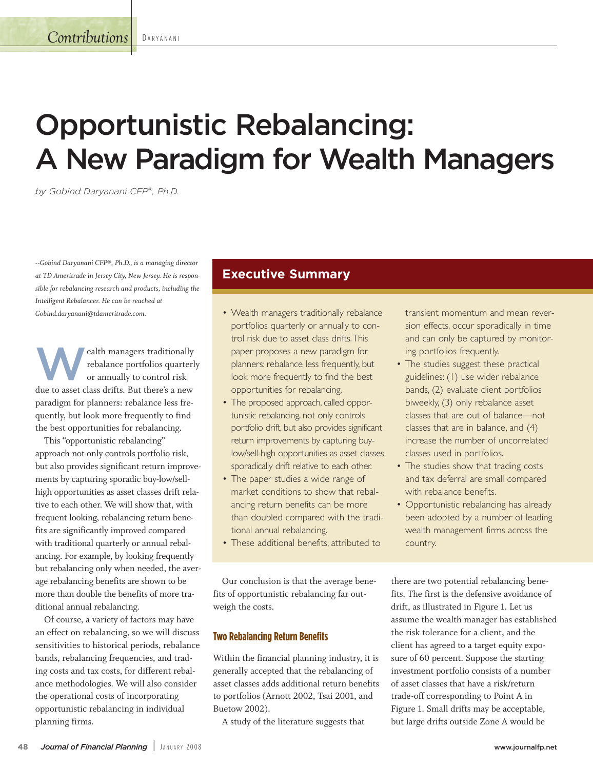# **Opportunistic Rebalancing: A New Paradigm for Wealth Managers**

*by Gobind Daryanani CFP®, Ph.D.*

*--Gobind Daryanani CFP®, Ph.D., is a managing director at TD Ameritrade in Jersey City, New Jersey. He is responsible for rebalancing research and products, including the Intelligent Rebalancer. He can be reached at Gobind.daryanani@tdameritrade.com.*

**W**ealth managers traditionally<br>rebalance portfolios quarter<br>or annually to control risk rebalance portfolios quarterly or annually to control risk due to asset class drifts. But there's a new paradigm for planners: rebalance less frequently, but look more frequently to find the best opportunities for rebalancing.

This "opportunistic rebalancing" approach not only controls portfolio risk, but also provides significant return improvements by capturing sporadic buy-low/sellhigh opportunities as asset classes drift relative to each other. We will show that, with frequent looking, rebalancing return benefits are significantly improved compared with traditional quarterly or annual rebalancing. For example, by looking frequently but rebalancing only when needed, the average rebalancing benefits are shown to be more than double the benefits of more traditional annual rebalancing.

Of course, a variety of factors may have an effect on rebalancing, so we will discuss sensitivities to historical periods, rebalance bands, rebalancing frequencies, and trading costs and tax costs, for different rebalance methodologies. We will also consider the operational costs of incorporating opportunistic rebalancing in individual planning firms.

# **Executive Summary**

- Wealth managers traditionally rebalance portfolios quarterly or annually to control risk due to asset class drifts.This paper proposes a new paradigm for planners: rebalance less frequently, but look more frequently to find the best opportunities for rebalancing.
- The proposed approach, called opportunistic rebalancing, not only controls portfolio drift, but also provides significant return improvements by capturing buylow/sell-high opportunities as asset classes sporadically drift relative to each other.
- The paper studies a wide range of market conditions to show that rebalancing return benefits can be more than doubled compared with the traditional annual rebalancing.
- These additional benefits, attributed to

transient momentum and mean reversion effects, occur sporadically in time and can only be captured by monitoring portfolios frequently.

- The studies suggest these practical guidelines: (1) use wider rebalance bands, (2) evaluate client portfolios biweekly, (3) only rebalance asset classes that are out of balance—not classes that are in balance, and (4) increase the number of uncorrelated classes used in portfolios.
- The studies show that trading costs and tax deferral are small compared with rebalance benefits.
- Opportunistic rebalancing has already been adopted by a number of leading wealth management firms across the country.

Our conclusion is that the average benefits of opportunistic rebalancing far outweigh the costs.

## **Two Rebalancing Return Benefits**

Within the financial planning industry, it is generally accepted that the rebalancing of asset classes adds additional return benefits to portfolios (Arnott 2002, Tsai 2001, and Buetow 2002).

A study of the literature suggests that

there are two potential rebalancing benefits. The first is the defensive avoidance of drift, as illustrated in Figure 1. Let us assume the wealth manager has established the risk tolerance for a client, and the client has agreed to a target equity exposure of 60 percent. Suppose the starting investment portfolio consists of a number of asset classes that have a risk/return trade-off corresponding to Point A in Figure 1. Small drifts may be acceptable, but large drifts outside Zone A would be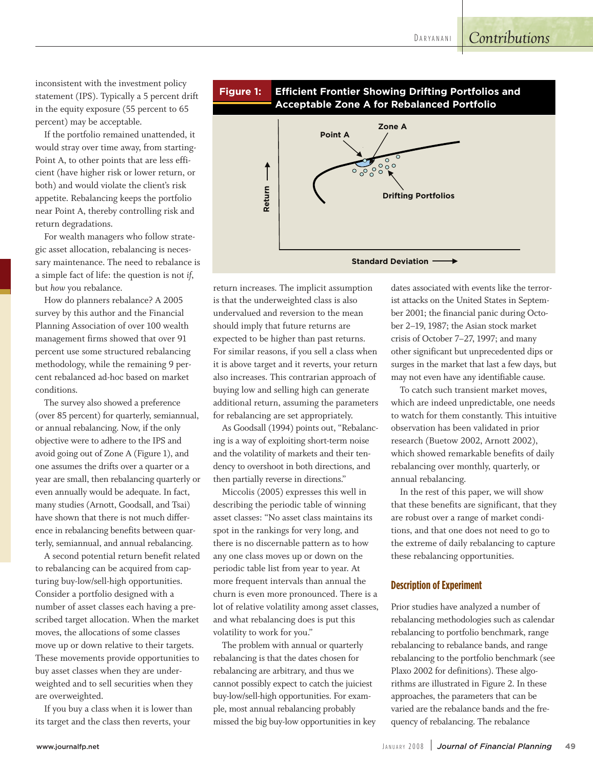# *Contributions*

inconsistent with the investment policy statement (IPS). Typically a 5 percent drift in the equity exposure (55 percent to 65 percent) may be acceptable.

If the portfolio remained unattended, it would stray over time away, from starting-Point A, to other points that are less efficient (have higher risk or lower return, or both) and would violate the client's risk appetite. Rebalancing keeps the portfolio near Point A, thereby controlling risk and return degradations.

For wealth managers who follow strategic asset allocation, rebalancing is necessary maintenance. The need to rebalance is a simple fact of life: the question is not *if*, but *how* you rebalance.

How do planners rebalance? A 2005 survey by this author and the Financial Planning Association of over 100 wealth management firms showed that over 91 percent use some structured rebalancing methodology, while the remaining 9 percent rebalanced ad-hoc based on market conditions.

The survey also showed a preference (over 85 percent) for quarterly, semiannual, or annual rebalancing. Now, if the only objective were to adhere to the IPS and avoid going out of Zone A (Figure 1), and one assumes the drifts over a quarter or a year are small, then rebalancing quarterly or even annually would be adequate. In fact, many studies (Arnott, Goodsall, and Tsai) have shown that there is not much difference in rebalancing benefits between quarterly, semiannual, and annual rebalancing.

A second potential return benefit related to rebalancing can be acquired from capturing buy-low/sell-high opportunities. Consider a portfolio designed with a number of asset classes each having a prescribed target allocation. When the market moves, the allocations of some classes move up or down relative to their targets. These movements provide opportunities to buy asset classes when they are underweighted and to sell securities when they are overweighted.

If you buy a class when it is lower than its target and the class then reverts, your



return increases. The implicit assumption is that the underweighted class is also undervalued and reversion to the mean should imply that future returns are expected to be higher than past returns. For similar reasons, if you sell a class when it is above target and it reverts, your return also increases. This contrarian approach of buying low and selling high can generate additional return, assuming the parameters for rebalancing are set appropriately.

As Goodsall (1994) points out, "Rebalancing is a way of exploiting short-term noise and the volatility of markets and their tendency to overshoot in both directions, and then partially reverse in directions."

Miccolis (2005) expresses this well in describing the periodic table of winning asset classes: "No asset class maintains its spot in the rankings for very long, and there is no discernable pattern as to how any one class moves up or down on the periodic table list from year to year. At more frequent intervals than annual the churn is even more pronounced. There is a lot of relative volatility among asset classes, and what rebalancing does is put this volatility to work for you."

The problem with annual or quarterly rebalancing is that the dates chosen for rebalancing are arbitrary, and thus we cannot possibly expect to catch the juiciest buy-low/sell-high opportunities. For example, most annual rebalancing probably missed the big buy-low opportunities in key dates associated with events like the terrorist attacks on the United States in September 2001; the financial panic during October 2–19, 1987; the Asian stock market crisis of October 7–27, 1997; and many other significant but unprecedented dips or surges in the market that last a few days, but may not even have any identifiable cause.

To catch such transient market moves, which are indeed unpredictable, one needs to watch for them constantly. This intuitive observation has been validated in prior research (Buetow 2002, Arnott 2002), which showed remarkable benefits of daily rebalancing over monthly, quarterly, or annual rebalancing.

In the rest of this paper, we will show that these benefits are significant, that they are robust over a range of market conditions, and that one does not need to go to the extreme of daily rebalancing to capture these rebalancing opportunities.

#### **Description of Experiment**

Prior studies have analyzed a number of rebalancing methodologies such as calendar rebalancing to portfolio benchmark, range rebalancing to rebalance bands, and range rebalancing to the portfolio benchmark (see Plaxo 2002 for definitions). These algorithms are illustrated in Figure 2. In these approaches, the parameters that can be varied are the rebalance bands and the frequency of rebalancing. The rebalance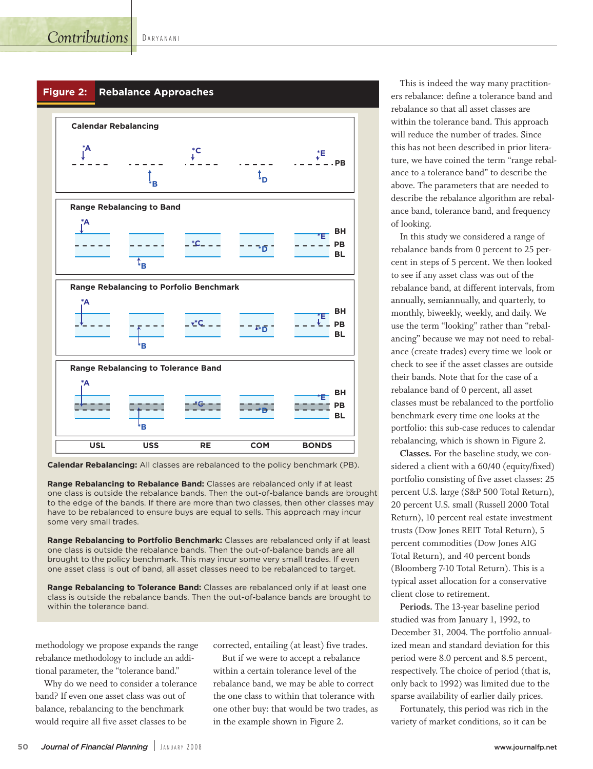

**Calendar Rebalancing:** All classes are rebalanced to the policy benchmark (PB).

**Range Rebalancing to Rebalance Band:** Classes are rebalanced only if at least one class is outside the rebalance bands. Then the out-of-balance bands are brought to the edge of the bands. If there are more than two classes, then other classes may have to be rebalanced to ensure buys are equal to sells. This approach may incur some very small trades.

**Range Rebalancing to Portfolio Benchmark:** Classes are rebalanced only if at least one class is outside the rebalance bands. Then the out-of-balance bands are all brought to the policy benchmark. This may incur some very small trades. If even one asset class is out of band, all asset classes need to be rebalanced to target.

**Range Rebalancing to Tolerance Band:** Classes are rebalanced only if at least one class is outside the rebalance bands. Then the out-of-balance bands are brought to within the tolerance band.

methodology we propose expands the range rebalance methodology to include an additional parameter, the "tolerance band."

Why do we need to consider a tolerance band? If even one asset class was out of balance, rebalancing to the benchmark would require all five asset classes to be

corrected, entailing (at least) five trades.

But if we were to accept a rebalance within a certain tolerance level of the rebalance band, we may be able to correct the one class to within that tolerance with one other buy: that would be two trades, as in the example shown in Figure 2.

This is indeed the way many practitioners rebalance: define a tolerance band and rebalance so that all asset classes are within the tolerance band. This approach will reduce the number of trades. Since this has not been described in prior literature, we have coined the term "range rebalance to a tolerance band" to describe the above. The parameters that are needed to describe the rebalance algorithm are rebalance band, tolerance band, and frequency of looking.

In this study we considered a range of rebalance bands from 0 percent to 25 percent in steps of 5 percent. We then looked to see if any asset class was out of the rebalance band, at different intervals, from annually, semiannually, and quarterly, to monthly, biweekly, weekly, and daily. We use the term "looking" rather than "rebalancing" because we may not need to rebalance (create trades) every time we look or check to see if the asset classes are outside their bands. Note that for the case of a rebalance band of 0 percent, all asset classes must be rebalanced to the portfolio benchmark every time one looks at the portfolio: this sub-case reduces to calendar rebalancing, which is shown in Figure 2.

**Classes.** For the baseline study, we considered a client with a 60/40 (equity/fixed) portfolio consisting of five asset classes: 25 percent U.S. large (S&P 500 Total Return), 20 percent U.S. small (Russell 2000 Total Return), 10 percent real estate investment trusts (Dow Jones REIT Total Return), 5 percent commodities (Dow Jones AIG Total Return), and 40 percent bonds (Bloomberg 7-10 Total Return). This is a typical asset allocation for a conservative client close to retirement.

**Periods.** The 13-year baseline period studied was from January 1, 1992, to December 31, 2004. The portfolio annualized mean and standard deviation for this period were 8.0 percent and 8.5 percent, respectively. The choice of period (that is, only back to 1992) was limited due to the sparse availability of earlier daily prices.

Fortunately, this period was rich in the variety of market conditions, so it can be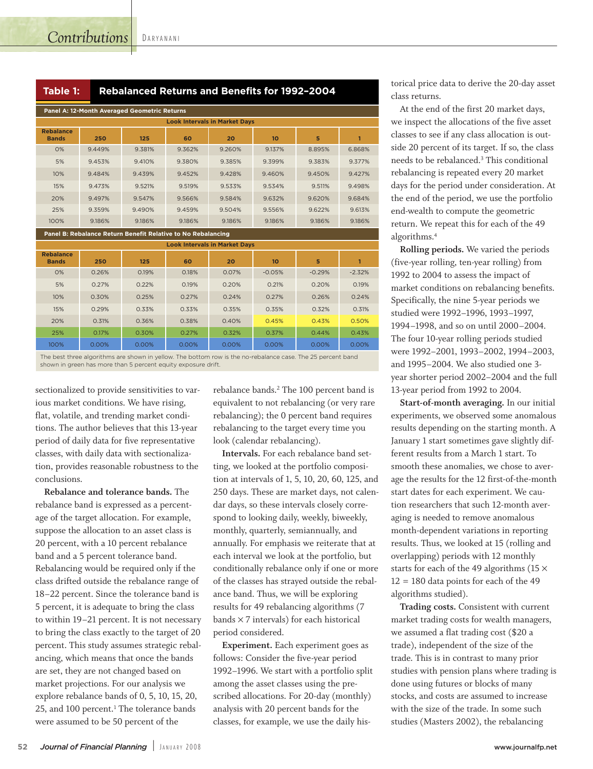D A R Y A N A N I

| Panel A: 12-Month Averaged Geometric Returns |                                      |        |        |        |        |        |        |  |  |  |  |
|----------------------------------------------|--------------------------------------|--------|--------|--------|--------|--------|--------|--|--|--|--|
|                                              | <b>Look Intervals in Market Days</b> |        |        |        |        |        |        |  |  |  |  |
| <b>Rebalance</b><br><b>Bands</b>             | 250                                  | 125    | 60     | 20     | 10     | 5      |        |  |  |  |  |
| 0%                                           | 9.449%                               | 9.381% | 9.362% | 9.260% | 9.137% | 8.895% | 6.868% |  |  |  |  |
| 5%                                           | 9.453%                               | 9.410% | 9.380% | 9.385% | 9.399% | 9.383% | 9.377% |  |  |  |  |
| 10%                                          | 9.484%                               | 9.439% | 9.452% | 9.428% | 9.460% | 9.450% | 9.427% |  |  |  |  |
| 15%                                          | 9.473%                               | 9.521% | 9.519% | 9.533% | 9.534% | 9.511% | 9.498% |  |  |  |  |
| 20%                                          | 9.497%                               | 9.547% | 9.566% | 9.584% | 9.632% | 9.620% | 9.684% |  |  |  |  |
| 25%                                          | 9.359%                               | 9.490% | 9.459% | 9.504% | 9.556% | 9.622% | 9.613% |  |  |  |  |
| 100%                                         | 9.186%                               | 9.186% | 9.186% | 9.186% | 9.186% | 9.186% | 9.186% |  |  |  |  |

**Panel B: Rebalance Return Benefit Relative to No Rebalancing** 

| <b>Look Intervals in Market Davs</b> |       |       |       |       |          |          |          |  |  |
|--------------------------------------|-------|-------|-------|-------|----------|----------|----------|--|--|
| <b>Rebalance</b><br><b>Bands</b>     | 250   | 125   | 60    | 20    | 10       | 5        |          |  |  |
| 0%                                   | 0.26% | 0.19% | 0.18% | 0.07% | $-0.05%$ | $-0.29%$ | $-2.32%$ |  |  |
| 5%                                   | 0.27% | 0.22% | 0.19% | 0.20% | 0.21%    | 0.20%    | 0.19%    |  |  |
| 10%                                  | 0.30% | 0.25% | 0.27% | 0.24% | 0.27%    | 0.26%    | 0.24%    |  |  |
| 15%                                  | 0.29% | 0.33% | 0.33% | 0.35% | 0.35%    | 0.32%    | 0.31%    |  |  |
| 20%                                  | 0.31% | 0.36% | 0.38% | 0.40% | 0.45%    | 0.43%    | 0.50%    |  |  |
| 25%                                  | 0.17% | 0.30% | 0.27% | 0.32% | 0.37%    | 0.44%    | 0.43%    |  |  |
| 100%                                 | 0.00% | 0.00% | 0.00% | 0.00% | 0.00%    | 0.00%    | 0.00%    |  |  |

The best three algorithms are shown in yellow. The bottom row is the no-rebalance case. The 25 percent band shown in green has more than 5 percent equity exposure drift.

sectionalized to provide sensitivities to various market conditions. We have rising, flat, volatile, and trending market conditions. The author believes that this 13-year period of daily data for five representative classes, with daily data with sectionalization, provides reasonable robustness to the conclusions.

**Rebalance and tolerance bands.** The rebalance band is expressed as a percentage of the target allocation. For example, suppose the allocation to an asset class is 20 percent, with a 10 percent rebalance band and a 5 percent tolerance band. Rebalancing would be required only if the class drifted outside the rebalance range of 18–22 percent. Since the tolerance band is 5 percent, it is adequate to bring the class to within 19–21 percent. It is not necessary to bring the class exactly to the target of 20 percent. This study assumes strategic rebalancing, which means that once the bands are set, they are not changed based on market projections. For our analysis we explore rebalance bands of 0, 5, 10, 15, 20, 25, and 100 percent. <sup>1</sup> The tolerance bands were assumed to be 50 percent of the

rebalance bands. <sup>2</sup> The 100 percent band is equivalent to not rebalancing (or very rare rebalancing); the 0 percent band requires rebalancing to the target every time you look (calendar rebalancing).

**Intervals.** For each rebalance band setting, we looked at the portfolio composition at intervals of 1, 5, 10, 20, 60, 125, and 250 days. These are market days, not calendar days, so these intervals closely correspond to looking daily, weekly, biweekly, monthly, quarterly, semiannually, and annually. For emphasis we reiterate that at each interval we look at the portfolio, but conditionally rebalance only if one or more of the classes has strayed outside the rebalance band. Thus, we will be exploring results for 49 rebalancing algorithms (7 bands  $\times$  7 intervals) for each historical period considered.

**Experiment.** Each experiment goes as follows: Consider the five-year period 1992–1996. We start with a portfolio split among the asset classes using the prescribed allocations. For 20-day (monthly) analysis with 20 percent bands for the classes, for example, we use the daily historical price data to derive the 20-day asset class returns.

At the end of the first 20 market days, we inspect the allocations of the five asset classes to see if any class allocation is outside 20 percent of its target. If so, the class needs to be rebalanced. <sup>3</sup> This conditional rebalancing is repeated every 20 market days for the period under consideration. At the end of the period, we use the portfolio end-wealth to compute the geometric return. We repeat this for each of the 49 algorithms. 4

**Rolling periods.** We varied the periods (five-year rolling, ten-year rolling) from 1992 to 2004 to assess the impact of market conditions on rebalancing benefits. Specifically, the nine 5-year periods we studied were 1992–1996, 1993–1997, 1994–1998, and so on until 2000–2004. The four 10-year rolling periods studied were 1992–2001, 1993–2002, 1994–2003, and 1995–2004. We also studied one 3 year shorter period 2002–2004 and the full 13-year period from 1992 to 2004.

**Start-of-month averaging.** In our initial experiments, we observed some anomalous results depending on the starting month. A January 1 start sometimes gave slightly different results from a March 1 start. To smooth these anomalies, we chose to average the results for the 12 first-of-the-month start dates for each experiment. We caution researchers that such 12-month averaging is needed to remove anomalous month-dependent variations in reporting results. Thus, we looked at 15 (rolling and overlapping) periods with 12 monthly starts for each of the 49 algorithms ( $15 \times$  $12 = 180$  data points for each of the 49 algorithms studied).

**Trading costs.** Consistent with current market trading costs for wealth managers, we assumed a flat trading cost (\$20 a trade), independent of the size of the trade. This is in contrast to many prior studies with pension plans where trading is done using futures or blocks of many stocks, and costs are assumed to increase with the size of the trade. In some such studies (Masters 2002), the rebalancing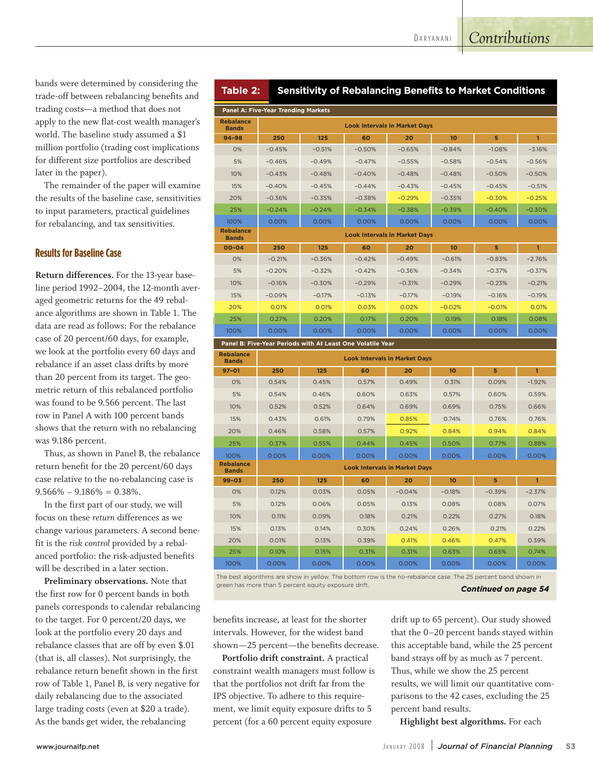bands were determined by considering the trade-off between rebalancing benefits and trading costs—a method that does not apply to the new flat-cost wealth manager's world. The baseline study assumed a \$1 million portfolio (trading cost implications for different size portfolios are described later in the paper).

The remainder of the paper will examine the results of the baseline case, sensitivities to input parameters, practical guidelines for rebalancing, and tax sensitivities.

### **Results for Baseline Case**

**Return differences.** For the 13-year baseline period 1992–2004, the 12-month averaged geometric returns for the 49 rebalance algorithms are shown in Table 1. The data are read as follows: For the rebalance case of 20 percent/60 days, for example, we look at the portfolio every 60 days and rebalance if an asset class drifts by more than 20 percent from its target. The geometric return of this rebalanced portfolio was found to be 9.566 percent. The last row in Panel A with 100 percent bands shows that the return with no rebalancing was 9.186 percent.

Thus, as shown in Panel B, the rebalance return benefit for the 20 percent/60 days case relative to the no-rebalancing case is  $9.566\% - 9.186\% = 0.38\%$ .

In the first part of our study, we will focus on these *return* differences as we change various parameters. A second benefit is the *risk control* provided by a rebalanced portfolio: the risk-adjusted benefits will be described in a later section.

**Preliminary observations.** Note that the first row for 0 percent bands in both panels corresponds to calendar rebalancing to the target. For 0 percent/20 days, we look at the portfolio every 20 days and rebalance classes that are off by even \$.01 (that is, all classes). Not surprisingly, the rebalance return benefit shown in the first row of Table 1, Panel B, is very negative for daily rebalancing due to the associated large trading costs (even at \$20 a trade). As the bands get wider, the rebalancing

| Table 2: |  |  | <b>Sensitivity of Rebalancing Benefits to Market Conditions</b> |
|----------|--|--|-----------------------------------------------------------------|
|----------|--|--|-----------------------------------------------------------------|

| <b>Panel A: Five-Year Trending Markets</b> |                                      |          |          |                                      |                  |          |              |  |  |  |
|--------------------------------------------|--------------------------------------|----------|----------|--------------------------------------|------------------|----------|--------------|--|--|--|
| <b>Rebalance</b><br><b>Bands</b>           | <b>Look Intervals in Market Days</b> |          |          |                                      |                  |          |              |  |  |  |
| $94 - 98$                                  | 250                                  | 125      | 60       | 20                                   | 10 <sup>10</sup> | 5        | $\mathbf{1}$ |  |  |  |
| 0%                                         | $-0.45%$                             | $-0.51%$ | $-0.50%$ | $-0.65%$                             | $-0.84%$         | $-1.08%$ | $-3.16%$     |  |  |  |
| 5%                                         | $-0.46%$                             | $-0.49%$ | $-0.47%$ | $-0.55%$                             | $-0.58%$         | $-0.54%$ | $-0.56%$     |  |  |  |
| 10%                                        | $-0.43%$                             | $-0.48%$ | $-0.40%$ | $-0.48%$                             | $-0.48%$         | $-0.50%$ | $-0.50%$     |  |  |  |
| 15%                                        | $-0.40%$                             | $-0.45%$ | $-0.44%$ | $-0.43%$                             | $-0.45%$         | $-0.45%$ | $-0.51%$     |  |  |  |
| 20%                                        | $-0.36%$                             | $-0.35%$ | $-0.38%$ | $-0.29%$                             | $-0.35%$         | $-0.30%$ | $-0.25%$     |  |  |  |
| 25%                                        | $-0.24%$                             | $-0.24%$ | $-0.34%$ | $-0.38%$                             | $-0.39%$         | $-0.40%$ | $-0.30%$     |  |  |  |
| 100%                                       | 0.00%                                | 0.00%    | 0.00%    | 0.00%                                | 0.00%            | 0.00%    | 0.00%        |  |  |  |
| <b>Rebalance</b><br><b>Bands</b>           |                                      |          |          | <b>Look Intervals in Market Days</b> |                  |          |              |  |  |  |
| $00 - 04$                                  | 250                                  | 125      | 60       | 20                                   | 10               | 5        | $\mathbf{1}$ |  |  |  |
| 0%                                         | $-0.21%$                             | $-0.36%$ | $-0.42%$ | $-0.49%$                             | $-0.61%$         | $-0.83%$ | $-2.76%$     |  |  |  |
| 5%                                         | $-0.20%$                             | $-0.32%$ | $-0.42%$ | $-0.36%$                             | $-0.34%$         | $-0.37%$ | $-0.37%$     |  |  |  |
| 10%                                        | $-0.16%$                             | $-0.30%$ | $-0.29%$ | $-0.31%$                             | $-0.29%$         | $-0.23%$ | $-0.21%$     |  |  |  |
| 15%                                        | $-0.09%$                             | $-0.17%$ | $-0.13%$ | $-0.17%$                             | $-0.19%$         | $-0.16%$ | $-0.19%$     |  |  |  |
| 20%                                        | 0.01%                                | 0.01%    | 0.03%    | 0.02%                                | $-0.02%$         | $-0.01%$ | 0.01%        |  |  |  |
| 25%                                        | 0.27%                                | 0.20%    | 0.17%    | 0.20%                                | 0.19%            | 0.18%    | 0.08%        |  |  |  |
| 100%                                       | 0.00%                                | 0.00%    | 0.00%    | 0.00%                                | 0.00%            | 0.00%    | 0.00%        |  |  |  |

**Panel B: Five-Year Periods with At Least One Volatile Year** 

| <b>Rebalance</b><br><b>Bands</b> | <b>Look Intervals in Market Days</b> |       |       |                                      |                  |          |              |  |  |  |
|----------------------------------|--------------------------------------|-------|-------|--------------------------------------|------------------|----------|--------------|--|--|--|
| $97 - 01$                        | 250                                  | 125   | 60    | 20                                   | 10 <sub>o</sub>  | 5        | 1            |  |  |  |
| 0%                               | 0.54%                                | 0.45% | 0.57% | 0.49%                                | 0.31%            | 0.09%    | $-1.92%$     |  |  |  |
| 5%                               | 0.54%                                | 0.46% | 0.60% | 0.63%                                | 0.57%            | 0.60%    | 0.59%        |  |  |  |
| 10%                              | 0.52%                                | 0.52% | 0.64% | 0.69%                                | 0.69%            | 0.75%    | 0.66%        |  |  |  |
| 15%                              | 0.43%                                | 0.61% | 0.79% | 0.85%                                | 0.74%            | 0.76%    | 0.76%        |  |  |  |
| 20%                              | 0.46%                                | 0.58% | 0.57% | 0.92%                                | 0.84%            | 0.94%    | 0.84%        |  |  |  |
| 25%                              | 0.37%                                | 0.55% | 0.44% | 0.45%                                | 0.50%            | 0.77%    | 0.88%        |  |  |  |
| 100%                             | 0.00%                                | 0.00% | 0.00% | 0.00%                                | 0.00%            | 0.00%    | 0.00%        |  |  |  |
| <b>Rebalance</b><br><b>Bands</b> |                                      |       |       | <b>Look Intervals in Market Davs</b> |                  |          |              |  |  |  |
| $99 - 03$                        | 250                                  | 125   | 60    | 20                                   | 10 <sup>10</sup> | 5        | $\mathbf{1}$ |  |  |  |
| 0%                               | 0.12%                                | 0.03% | 0.05% | $-0.04%$                             | $-0.18%$         | $-0.39%$ | $-2.37%$     |  |  |  |
| 5%                               | 0.12%                                | 0.06% | 0.05% | 0.13%                                | 0.08%            | 0.08%    | 0.07%        |  |  |  |
| 10%                              | 0.11%                                | 0.09% | 0.18% | 0.21%                                | 0.22%            | 0.27%    | 0.18%        |  |  |  |
| 15%                              | 0.13%                                | 0.14% | 0.30% | 0.24%                                | 0.26%            | 0.21%    | 0.22%        |  |  |  |
| 20%                              | 0.01%                                | 0.13% | 0.39% | 0.41%                                | 0.46%            | 0.47%    | 0.39%        |  |  |  |
| 25%                              | 0.10%                                | 0.15% | 0.31% | 0.31%                                | 0.63%            | 0.65%    | 0.74%        |  |  |  |
| 100%                             | 0.00%                                | 0.00% | 0.00% | 0.00%                                | 0.00%            | 0.00%    | 0.00%        |  |  |  |

The best algorithms are show in yellow. The bottom row is the no-rebalance case. The 25 percent band shown in green has more than 5 percent equity exposure drift. **Continued on page 54** 

benefits increase, at least for the shorter intervals. However, for the widest band shown—25 percent—the benefits decrease.

**Portfolio drift constraint.** A practical constraint wealth managers must follow is that the portfolios not drift far from the IPS objective. To adhere to this requirement, we limit equity exposure drifts to 5 percent (for a 60 percent equity exposure

drift up to 65 percent). Our study showed that the 0–20 percent bands stayed within this acceptable band, while the 25 percent band strays off by as much as 7 percent. Thus, while we show the 25 percent results, we will limit our quantitative comparisons to the 42 cases, excluding the 25 percent band results.

**Highlight best algorithms.** For each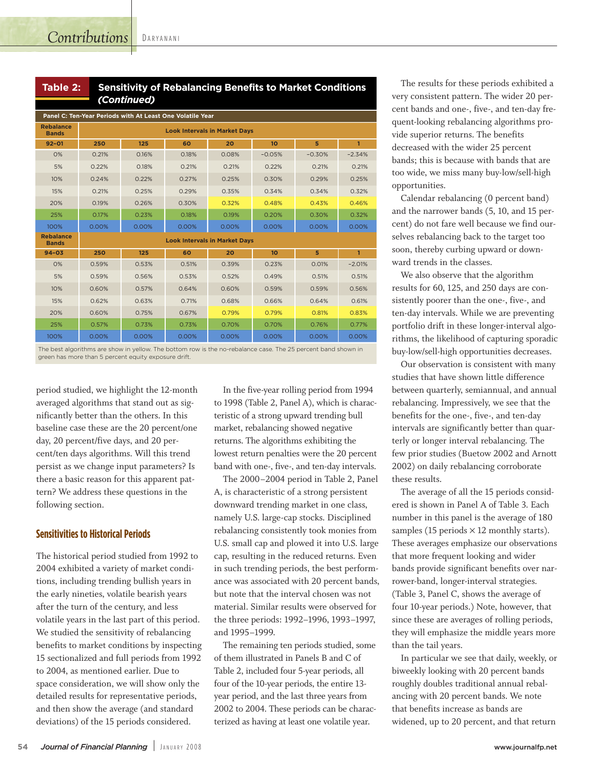D A R Y A N A N I

| Table 2: | <b>Sensitivity of Rebalancing Benefits to Market Conditions</b> |
|----------|-----------------------------------------------------------------|
|          | (Continued)                                                     |

| Panel C: Ten-Year Periods with At Least One Volatile Year |                                      |       |       |                                      |          |          |              |  |  |  |
|-----------------------------------------------------------|--------------------------------------|-------|-------|--------------------------------------|----------|----------|--------------|--|--|--|
| <b>Rebalance</b><br><b>Bands</b>                          | <b>Look Intervals in Market Days</b> |       |       |                                      |          |          |              |  |  |  |
| $92 - 01$                                                 | 250                                  | 125   | 60    | 20                                   | 10       | 5        | $\mathbf{1}$ |  |  |  |
| O%                                                        | 0.21%                                | 0.16% | 0.18% | 0.08%                                | $-0.05%$ | $-0.30%$ | $-2.34%$     |  |  |  |
| 5%                                                        | 0.22%                                | 0.18% | 0.21% | 0.21%                                | 0.22%    | 0.21%    | 0.21%        |  |  |  |
| 10%                                                       | 0.24%                                | 0.22% | 0.27% | 0.25%                                | 0.30%    | 0.29%    | 0.25%        |  |  |  |
| 15%                                                       | 0.21%                                | 0.25% | 0.29% | 0.35%                                | 0.34%    | 0.34%    | 0.32%        |  |  |  |
| 20%                                                       | 0.19%                                | 0.26% | 0.30% | 0.32%                                | 0.48%    | 0.43%    | 0.46%        |  |  |  |
| 25%                                                       | 0.17%                                | 0.23% | 0.18% | 0.19%                                | 0.20%    | 0.30%    | 0.32%        |  |  |  |
| 100%                                                      | 0.00%                                | 0.00% | 0.00% | 0.00%                                | 0.00%    | 0.00%    | 0.00%        |  |  |  |
| <b>Rebalance</b><br><b>Bands</b>                          |                                      |       |       | <b>Look Intervals in Market Davs</b> |          |          |              |  |  |  |
| $94 - 03$                                                 | 250                                  | 125   | 60    | 20                                   | 10       | 5        | $\mathbf{1}$ |  |  |  |
| O%                                                        | 0.59%                                | 0.53% | 0.51% | 0.39%                                | 0.23%    | 0.01%    | $-2.01%$     |  |  |  |
| 5%                                                        | 0.59%                                | 0.56% | 0.53% | 0.52%                                | 0.49%    | 0.51%    | 0.51%        |  |  |  |
| 10%                                                       | 0.60%                                | 0.57% | 0.64% | 0.60%                                | 0.59%    | 0.59%    | 0.56%        |  |  |  |
| 15%                                                       | 0.62%                                | 0.63% | 0.71% | 0.68%                                | 0.66%    | 0.64%    | 0.61%        |  |  |  |
| 20%                                                       | 0.60%                                | 0.75% | 0.67% | 0.79%                                | 0.79%    | 0.81%    | 0.83%        |  |  |  |
| 25%                                                       | 0.57%                                | 0.73% | 0.73% | 0.70%                                | 0.70%    | 0.76%    | 0.77%        |  |  |  |
| 100%                                                      | 0.00%                                | 0.00% | 0.00% | 0.00%                                | 0.00%    | 0.00%    | 0.00%        |  |  |  |

The best algorithms are show in yellow. The bottom row is the no-rebalance case. The 25 percent band shown in green has more than 5 percent equity exposure drift

period studied, we highlight the 12-month averaged algorithms that stand out as significantly better than the others. In this baseline case these are the 20 percent/one day, 20 percent/five days, and 20 percent/ten days algorithms. Will this trend persist as we change input parameters? Is there a basic reason for this apparent pattern? We address these questions in the following section.

## **Sensitivities to Historical Periods**

The historical period studied from 1992 to 2004 exhibited a variety of market conditions, including trending bullish years in the early nineties, volatile bearish years after the turn of the century, and less volatile years in the last part of this period. We studied the sensitivity of rebalancing benefits to market conditions by inspecting 15 sectionalized and full periods from 1992 to 2004, as mentioned earlier. Due to space consideration, we will show only the detailed results for representative periods, and then show the average (and standard deviations) of the 15 periods considered.

In the five-year rolling period from 1994 to 1998 (Table 2, Panel A), which is characteristic of a strong upward trending bull market, rebalancing showed negative returns. The algorithms exhibiting the lowest return penalties were the 20 percent band with one-, five-, and ten-day intervals.

The 2000–2004 period in Table 2, Panel A, is characteristic of a strong persistent downward trending market in one class, namely U.S. large-cap stocks. Disciplined rebalancing consistently took monies from U.S. small cap and plowed it into U.S. large cap, resulting in the reduced returns. Even in such trending periods, the best performance was associated with 20 percent bands, but note that the interval chosen was not material. Similar results were observed for the three periods: 1992–1996, 1993–1997, and 1995–1999.

The remaining ten periods studied, some of them illustrated in Panels B and C of Table 2, included four 5-year periods, all four of the 10-year periods, the entire 13 year period, and the last three years from 2002 to 2004. These periods can be characterized as having at least one volatile year.

The results for these periods exhibited a very consistent pattern. The wider 20 percent bands and one-, five-, and ten-day frequent-looking rebalancing algorithms provide superior returns. The benefits decreased with the wider 25 percent bands; this is because with bands that are too wide, we miss many buy-low/sell-high opportunities.

Calendar rebalancing (0 percent band) and the narrower bands (5, 10, and 15 percent) do not fare well because we find ourselves rebalancing back to the target too soon, thereby curbing upward or downward trends in the classes.

We also observe that the algorithm results for 60, 125, and 250 days are consistently poorer than the one-, five-, and ten-day intervals. While we are preventing portfolio drift in these longer-interval algorithms, the likelihood of capturing sporadic buy-low/sell-high opportunities decreases.

Our observation is consistent with many studies that have shown little difference between quarterly, semiannual, and annual rebalancing. Impressively, we see that the benefits for the one-, five-, and ten-day intervals are significantly better than quarterly or longer interval rebalancing. The few prior studies (Buetow 2002 and Arnott 2002) on daily rebalancing corroborate these results.

The average of all the 15 periods considered is shown in Panel A of Table 3. Each number in this panel is the average of 180 samples (15 periods  $\times$  12 monthly starts). These averages emphasize our observations that more frequent looking and wider bands provide significant benefits over narrower-band, longer-interval strategies. (Table 3, Panel C, shows the average of four 10-year periods.) Note, however, that since these are averages of rolling periods, they will emphasize the middle years more than the tail years.

In particular we see that daily, weekly, or biweekly looking with 20 percent bands roughly doubles traditional annual rebalancing with 20 percent bands. We note that benefits increase as bands are widened, up to 20 percent, and that return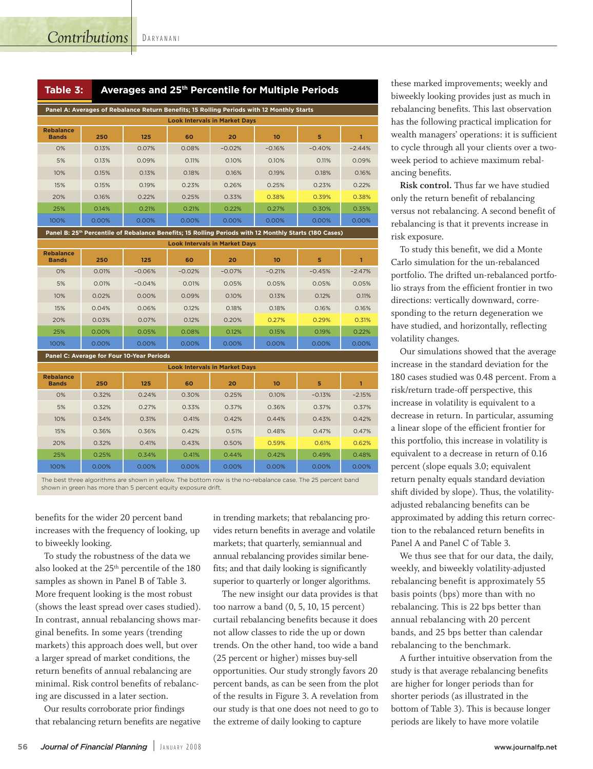D A R Y A N A N I

| Panel A: Averages of Rebalance Return Benefits; 15 Rolling Periods with 12 Monthly Starts |       |       |       |          |                 |          |          |  |  |  |
|-------------------------------------------------------------------------------------------|-------|-------|-------|----------|-----------------|----------|----------|--|--|--|
| <b>Look Intervals in Market Days</b>                                                      |       |       |       |          |                 |          |          |  |  |  |
| <b>Rebalance</b><br><b>Bands</b>                                                          | 250   | 125   | 60    | 20       | 10 <sup>1</sup> | 5        |          |  |  |  |
| O%                                                                                        | 0.13% | 0.07% | 0.08% | $-0.02%$ | $-0.16%$        | $-0.40%$ | $-2.44%$ |  |  |  |
| 5%                                                                                        | 0.13% | 0.09% | 0.11% | 0.10%    | 0.10%           | 0.11%    | 0.09%    |  |  |  |
| 10%                                                                                       | 0.15% | 0.13% | 0.18% | 0.16%    | 0.19%           | 0.18%    | 0.16%    |  |  |  |
| 15%                                                                                       | 0.15% | 0.19% | 0.23% | 0.26%    | 0.25%           | 0.23%    | 0.22%    |  |  |  |
| 20%                                                                                       | 0.16% | 0.22% | 0.25% | 0.33%    | 0.38%           | 0.39%    | 0.38%    |  |  |  |
| 25%                                                                                       | 0.14% | 0.21% | 0.21% | 0.22%    | 0.27%           | 0.30%    | 0.35%    |  |  |  |
| 100%                                                                                      | 0.00% | 0.00% | 0.00% | 0.00%    | $0.00\%$        | 0.00%    | 0.00%    |  |  |  |

**.0( B**  $\Omega$  25<sup>th</sup> Percentile of Rebalance Benefits; 15 Rolling Periods with 12 Monthly Starts (180 Cases)

| <b>Look Intervals in Market Days</b> |       |          |          |          |          |          |          |  |  |
|--------------------------------------|-------|----------|----------|----------|----------|----------|----------|--|--|
| <b>Rebalance</b><br><b>Bands</b>     | 250   | 125      | 60       | 20       | 10       | 5        |          |  |  |
| 0%                                   | 0.01% | $-0.06%$ | $-0.02%$ | $-0.07%$ | $-0.21%$ | $-0.45%$ | $-2.47%$ |  |  |
| 5%                                   | 0.01% | $-0.04%$ | 0.01%    | 0.05%    | 0.05%    | 0.05%    | 0.05%    |  |  |
| 10%                                  | 0.02% | 0.00%    | 0.09%    | 0.10%    | 0.13%    | 0.12%    | 0.11%    |  |  |
| 15%                                  | 0.04% | 0.06%    | 0.12%    | 0.18%    | 0.18%    | 0.16%    | 0.16%    |  |  |
| 20%                                  | 0.03% | 0.07%    | 0.12%    | 0.20%    | 0.27%    | 0.29%    | 0.31%    |  |  |
| 25%                                  | 0.00% | 0.05%    | 0.08%    | 0.12%    | 0.15%    | 0.19%    | 0.22%    |  |  |
| 100%                                 | 0.00% | 0.00%    | 0.00%    | 0.00%    | 0.00%    | 0.00%    | 0.00%    |  |  |

**Panel C: Average for Four 10-Year Peri** 

| <b>Look Intervals in Market Days</b> |       |       |       |       |       |          |          |  |  |  |
|--------------------------------------|-------|-------|-------|-------|-------|----------|----------|--|--|--|
| <b>Rebalance</b><br><b>Bands</b>     | 250   | 125   | 60    | 20    | 10    | 5        |          |  |  |  |
| O%                                   | 0.32% | 0.24% | 0.30% | 0.25% | 0.10% | $-0.13%$ | $-2.15%$ |  |  |  |
| 5%                                   | 0.32% | 0.27% | 0.33% | 0.37% | 0.36% | 0.37%    | 0.37%    |  |  |  |
| 10%                                  | 0.34% | 0.31% | 0.41% | 0.42% | 0.44% | 0.43%    | 0.42%    |  |  |  |
| 15%                                  | 0.36% | 0.36% | 0.42% | 0.51% | 0.48% | 0.47%    | 0.47%    |  |  |  |
| 20%                                  | 0.32% | 0.41% | 0.43% | 0.50% | 0.59% | 0.61%    | 0.62%    |  |  |  |
| 25%                                  | 0.25% | 0.34% | 0.41% | 0.44% | 0.42% | 0.49%    | 0.48%    |  |  |  |
| 100%                                 | 0.00% | 0.00% | 0.00% | 0.00% | 0.00% | 0.00%    | 0.00%    |  |  |  |

The best three algorithms are shown in yellow. The bottom row is the no-rebalance case. The 25 percent band shown in green has more than 5 percent equity exposure drift.

benefits for the wider 20 percent band increases with the frequency of looking, up to biweekly looking.

To study the robustness of the data we also looked at the 25th percentile of the 180 samples as shown in Panel B of Table 3. More frequent looking is the most robust (shows the least spread over cases studied). In contrast, annual rebalancing shows marginal benefits. In some years (trending markets) this approach does well, but over a larger spread of market conditions, the return benefits of annual rebalancing are minimal. Risk control benefits of rebalancing are discussed in a later section.

Our results corroborate prior findings that rebalancing return benefits are negative in trending markets; that rebalancing provides return benefits in average and volatile markets; that quarterly, semiannual and annual rebalancing provides similar benefits; and that daily looking is significantly superior to quarterly or longer algorithms.

The new insight our data provides is that too narrow a band (0, 5, 10, 15 percent) curtail rebalancing benefits because it does not allow classes to ride the up or down trends. On the other hand, too wide a band (25 percent or higher) misses buy-sell opportunities. Our study strongly favors 20 percent bands, as can be seen from the plot of the results in Figure 3. A revelation from our study is that one does not need to go to the extreme of daily looking to capture

these marked improvements; weekly and biweekly looking provides just as much in rebalancing benefits. This last observation has the following practical implication for wealth managers' operations: it is sufficient to cycle through all your clients over a twoweek period to achieve maximum rebalancing benefits.

**Risk control.** Thus far we have studied only the return benefit of rebalancing versus not rebalancing. A second benefit of rebalancing is that it prevents increase in risk exposure.

To study this benefit, we did a Monte Carlo simulation for the un-rebalanced portfolio. The drifted un-rebalanced portfolio strays from the efficient frontier in two directions: vertically downward, corresponding to the return degeneration we have studied, and horizontally, reflecting volatility changes.

Our simulations showed that the average increase in the standard deviation for the 180 cases studied was 0.48 percent. From a risk/return trade-off perspective, this increase in volatility is equivalent to a decrease in return. In particular, assuming a linear slope of the efficient frontier for this portfolio, this increase in volatility is equivalent to a decrease in return of 0.16 percent (slope equals 3.0; equivalent return penalty equals standard deviation shift divided by slope). Thus, the volatilityadjusted rebalancing benefits can be approximated by adding this return correction to the rebalanced return benefits in Panel A and Panel C of Table 3.

We thus see that for our data, the daily, weekly, and biweekly volatility-adjusted rebalancing benefit is approximately 55 basis points (bps) more than with no rebalancing. This is 22 bps better than annual rebalancing with 20 percent bands, and 25 bps better than calendar rebalancing to the benchmark.

A further intuitive observation from the study is that average rebalancing benefits are higher for longer periods than for shorter periods (as illustrated in the bottom of Table 3). This is because longer periods are likely to have more volatile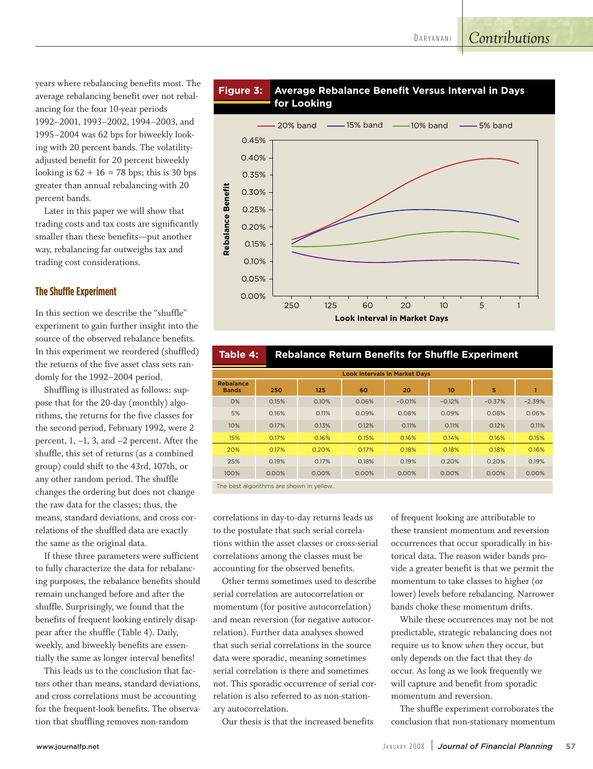# *Contributions*

years where rebalancing benefits most. The average rebalancing benefit over not rebalancing for the four 10-year periods 1992–2001, 1993–2002, 1994–2003, and 1995–2004 was 62 bps for biweekly looking with 20 percent bands. The volatilityadjusted benefit for 20 percent biweekly looking is  $62 + 16 = 78$  bps; this is 30 bps greater than annual rebalancing with 20 percent bands.

Later in this paper we will show that trading costs and tax costs are significantly smaller than these benefits—put another way, rebalancing far outweighs tax and trading cost considerations.

#### **The Shuffle Experiment**

In this section we describe the "shuffle" experiment to gain further insight into the source of the observed rebalance benefits. In this experiment we reordered (shuffled) the returns of the five asset class sets randomly for the 1992–2004 period.

Shuffling is illustrated as follows: suppose that for the 20-day (monthly) algorithms, the returns for the five classes for the second period, February 1992, were 2 percent, 1, –1, 3, and –2 percent. After the shuffle, this set of returns (as a combined group) could shift to the 43rd, 107th, or any other random period. The shuffle changes the ordering but does not change the raw data for the classes; thus, the means, standard deviations, and cross correlations of the shuffled data are exactly the same as the original data.

If these three parameters were sufficient to fully characterize the data for rebalancing purposes, the rebalance benefits should remain unchanged before and after the shuffle. Surprisingly, we found that the benefits of frequent looking entirely disappear after the shuffle (Table 4). Daily, weekly, and biweekly benefits are essentially the same as longer interval benefits!

This leads us to the conclusion that factors other than means, standard deviations, and cross correlations must be accounting for the frequent-look benefits. The observation that shuffling removes non-random





| <b>Look Intervals in Market Days</b> |       |       |       |          |          |          |          |  |  |  |
|--------------------------------------|-------|-------|-------|----------|----------|----------|----------|--|--|--|
| <b>Rebalance</b><br><b>Bands</b>     | 250   | 125   | 60    | 20       | 10       | 5        |          |  |  |  |
| 0%                                   | 0.15% | 0.10% | 0.06% | $-0.01%$ | $-0.12%$ | $-0.37%$ | $-2.39%$ |  |  |  |
| 5%                                   | 0.16% | 0.11% | 0.09% | 0.08%    | 0.09%    | 0.08%    | 0.06%    |  |  |  |
| 10%                                  | 0.17% | 0.13% | 0.12% | 0.11%    | 0.11%    | 0.12%    | 0.11%    |  |  |  |
| 15%                                  | 0.17% | 0.16% | 0.15% | 0.16%    | 0.14%    | 0.16%    | 0.15%    |  |  |  |
| 20%                                  | 0.17% | 0.20% | 0.17% | 0.18%    | 0.18%    | 0.18%    | 0.16%    |  |  |  |
| 25%                                  | 0.19% | 0.17% | 0.18% | 0.19%    | 0.20%    | 0.20%    | 0.19%    |  |  |  |
| 100%                                 | 0.00% | 0.00% | 0.00% | 0.00%    | 0.00%    | 0.00%    | 0.00%    |  |  |  |
| <b>Contract Contract Contract</b>    |       |       |       |          |          |          |          |  |  |  |

 **Table 4: Rebalance Return Benefits for Shuffle Experiment** 

The best algorithms are shown in yellow

correlations in day-to-day returns leads us to the postulate that such serial correlations within the asset classes or cross-serial correlations among the classes must be accounting for the observed benefits.

Other terms sometimes used to describe serial correlation are autocorrelation or momentum (for positive autocorrelation) and mean reversion (for negative autocorrelation). Further data analyses showed that such serial correlations in the source data were sporadic, meaning sometimes serial correlation is there and sometimes not. This sporadic occurrence of serial correlation is also referred to as non-stationary autocorrelation.

Our thesis is that the increased benefits

of frequent looking are attributable to these transient momentum and reversion occurrences that occur sporadically in historical data. The reason wider bands provide a greater benefit is that we permit the momentum to take classes to higher (or lower) levels before rebalancing. Narrower bands choke these momentum drifts.

While these occurrences may not be not predictable, strategic rebalancing does not require us to know *when* they occur, but only depends on the fact that they *do* occur. As long as we look frequently we will capture and benefit from sporadic momentum and reversion.

The shuffle experiment corroborates the conclusion that non-stationary momentum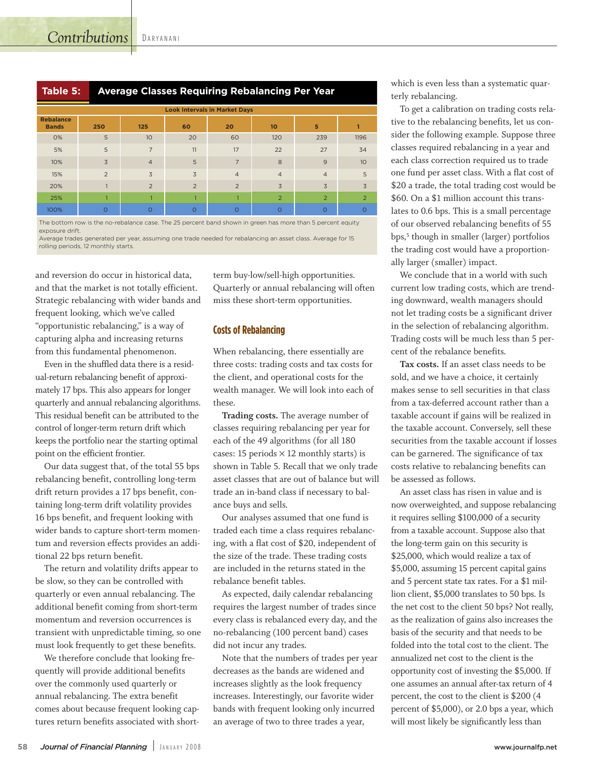| ' Average Classes Requiring Rebalancing Per Year<br>Table 5: |
|--------------------------------------------------------------|
|--------------------------------------------------------------|

| <b>Look Intervals in Market Days</b> |                |                 |                |                |                  |                |                 |  |  |  |  |
|--------------------------------------|----------------|-----------------|----------------|----------------|------------------|----------------|-----------------|--|--|--|--|
| <b>Rebalance</b><br><b>Bands</b>     | 250            | 125             | 60             | 20             | 10 <sup>10</sup> | 5              |                 |  |  |  |  |
| 0%                                   | 5              | 10 <sup>°</sup> | 20             | 60             | 120              | 239            | 1196            |  |  |  |  |
| 5%                                   | 5              | $\overline{7}$  | 11             | 17             | 22               | 27             | 34              |  |  |  |  |
| 10%                                  | $\overline{3}$ | $\overline{4}$  | 5              | 7              | 8                | 9              | 10 <sup>°</sup> |  |  |  |  |
| 15%                                  | $\overline{2}$ | $\overline{3}$  | 3              | $\overline{4}$ | $\overline{4}$   | $\overline{4}$ | 5               |  |  |  |  |
| 20%                                  |                | $\overline{2}$  | $\overline{2}$ | $\overline{2}$ | $\overline{3}$   | $\overline{3}$ | $\overline{3}$  |  |  |  |  |
| 25%                                  | п              |                 | п              |                | $\overline{2}$   | $\overline{2}$ | 2               |  |  |  |  |
| 100%                                 | $\Omega$       | $\Omega$        | $\Omega$       | $\Omega$       | $\circ$          | $\Omega$       | $\circ$         |  |  |  |  |

The bottom row is the no-rebalance case. The 25 percent band shown in green has more than 5 percent equity exposure drift

Average trades generated per year, assuming one trade needed for rebalancing an asset class. Average for 15 rolling periods, 12 monthly starts.

and reversion do occur in historical data, and that the market is not totally efficient. Strategic rebalancing with wider bands and frequent looking, which we've called "opportunistic rebalancing," is a way of capturing alpha and increasing returns from this fundamental phenomenon.

Even in the shuffled data there is a residual-return rebalancing benefit of approximately 17 bps. This also appears for longer quarterly and annual rebalancing algorithms. This residual benefit can be attributed to the control of longer-term return drift which keeps the portfolio near the starting optimal point on the efficient frontier.

Our data suggest that, of the total 55 bps rebalancing benefit, controlling long-term drift return provides a 17 bps benefit, containing long-term drift volatility provides 16 bps benefit, and frequent looking with wider bands to capture short-term momentum and reversion effects provides an additional 22 bps return benefit.

The return and volatility drifts appear to be slow, so they can be controlled with quarterly or even annual rebalancing. The additional benefit coming from short-term momentum and reversion occurrences is transient with unpredictable timing, so one must look frequently to get these benefits.

We therefore conclude that looking frequently will provide additional benefits over the commonly used quarterly or annual rebalancing. The extra benefit comes about because frequent looking captures return benefits associated with shortterm buy-low/sell-high opportunities. Quarterly or annual rebalancing will often miss these short-term opportunities.

#### **Costs of Rebalancing**

When rebalancing, there essentially are three costs: trading costs and tax costs for the client, and operational costs for the wealth manager. We will look into each of these.

**Trading costs.** The average number of classes requiring rebalancing per year for each of the 49 algorithms (for all 180 cases: 15 periods  $\times$  12 monthly starts) is shown in Table 5. Recall that we only trade asset classes that are out of balance but will trade an in-band class if necessary to balance buys and sells.

Our analyses assumed that one fund is traded each time a class requires rebalancing, with a flat cost of \$20, independent of the size of the trade. These trading costs are included in the returns stated in the rebalance benefit tables.

As expected, daily calendar rebalancing requires the largest number of trades since every class is rebalanced every day, and the no-rebalancing (100 percent band) cases did not incur any trades.

Note that the numbers of trades per year decreases as the bands are widened and increases slightly as the look frequency increases. Interestingly, our favorite wider bands with frequent looking only incurred an average of two to three trades a year,

which is even less than a systematic quarterly rebalancing.

To get a calibration on trading costs relative to the rebalancing benefits, let us consider the following example. Suppose three classes required rebalancing in a year and each class correction required us to trade one fund per asset class. With a flat cost of \$20 a trade, the total trading cost would be \$60. On a \$1 million account this translates to 0.6 bps. This is a small percentage of our observed rebalancing benefits of 55 bps, <sup>5</sup> though in smaller (larger) portfolios the trading cost would have a proportionally larger (smaller) impact.

We conclude that in a world with such current low trading costs, which are trending downward, wealth managers should not let trading costs be a significant driver in the selection of rebalancing algorithm. Trading costs will be much less than 5 percent of the rebalance benefits.

**Tax costs.** If an asset class needs to be sold, and we have a choice, it certainly makes sense to sell securities in that class from a tax-deferred account rather than a taxable account if gains will be realized in the taxable account. Conversely, sell these securities from the taxable account if losses can be garnered. The significance of tax costs relative to rebalancing benefits can be assessed as follows.

An asset class has risen in value and is now overweighted, and suppose rebalancing it requires selling \$100,000 of a security from a taxable account. Suppose also that the long-term gain on this security is \$25,000, which would realize a tax of \$5,000, assuming 15 percent capital gains and 5 percent state tax rates. For a \$1 million client, \$5,000 translates to 50 bps. Is the net cost to the client 50 bps? Not really, as the realization of gains also increases the basis of the security and that needs to be folded into the total cost to the client. The annualized net cost to the client is the opportunity cost of investing the \$5,000. If one assumes an annual after-tax return of 4 percent, the cost to the client is \$200 (4 percent of \$5,000), or 2.0 bps a year, which will most likely be significantly less than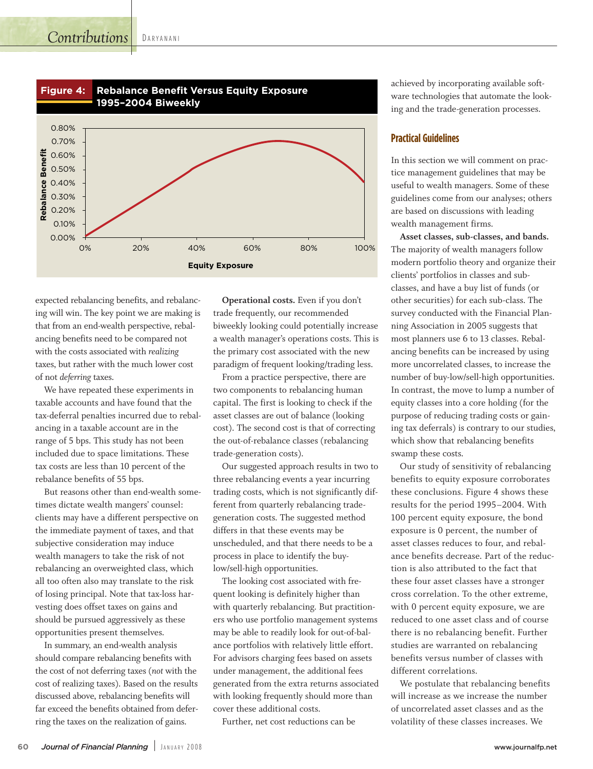# *Contributions*

D A R Y A N A N I



expected rebalancing benefits, and rebalancing will win. The key point we are making is that from an end-wealth perspective, rebalancing benefits need to be compared not with the costs associated with *realizing* taxes, but rather with the much lower cost of not *deferring* taxes.

We have repeated these experiments in taxable accounts and have found that the tax-deferral penalties incurred due to rebalancing in a taxable account are in the range of 5 bps. This study has not been included due to space limitations. These tax costs are less than 10 percent of the rebalance benefits of 55 bps.

But reasons other than end-wealth sometimes dictate wealth mangers' counsel: clients may have a different perspective on the immediate payment of taxes, and that subjective consideration may induce wealth managers to take the risk of not rebalancing an overweighted class, which all too often also may translate to the risk of losing principal. Note that tax-loss harvesting does offset taxes on gains and should be pursued aggressively as these opportunities present themselves.

In summary, an end-wealth analysis should compare rebalancing benefits with the cost of not deferring taxes (*not* with the cost of realizing taxes). Based on the results discussed above, rebalancing benefits will far exceed the benefits obtained from deferring the taxes on the realization of gains.

**Operational costs.** Even if you don't trade frequently, our recommended biweekly looking could potentially increase a wealth manager's operations costs. This is the primary cost associated with the new paradigm of frequent looking/trading less.

From a practice perspective, there are two components to rebalancing human capital. The first is looking to check if the asset classes are out of balance (looking cost). The second cost is that of correcting the out-of-rebalance classes (rebalancing trade-generation costs).

Our suggested approach results in two to three rebalancing events a year incurring trading costs, which is not significantly different from quarterly rebalancing tradegeneration costs. The suggested method differs in that these events may be unscheduled, and that there needs to be a process in place to identify the buylow/sell-high opportunities.

The looking cost associated with frequent looking is definitely higher than with quarterly rebalancing. But practitioners who use portfolio management systems may be able to readily look for out-of-balance portfolios with relatively little effort. For advisors charging fees based on assets under management, the additional fees generated from the extra returns associated with looking frequently should more than cover these additional costs.

Further, net cost reductions can be

achieved by incorporating available software technologies that automate the looking and the trade-generation processes.

## **Practical Guidelines**

In this section we will comment on practice management guidelines that may be useful to wealth managers. Some of these guidelines come from our analyses; others are based on discussions with leading wealth management firms.

**Asset classes, sub-classes, and bands.** The majority of wealth managers follow modern portfolio theory and organize their clients' portfolios in classes and subclasses, and have a buy list of funds (or other securities) for each sub-class. The survey conducted with the Financial Planning Association in 2005 suggests that most planners use 6 to 13 classes. Rebalancing benefits can be increased by using more uncorrelated classes, to increase the number of buy-low/sell-high opportunities. In contrast, the move to lump a number of equity classes into a core holding (for the purpose of reducing trading costs or gaining tax deferrals) is contrary to our studies, which show that rebalancing benefits swamp these costs.

Our study of sensitivity of rebalancing benefits to equity exposure corroborates these conclusions. Figure 4 shows these results for the period 1995–2004. With 100 percent equity exposure, the bond exposure is 0 percent, the number of asset classes reduces to four, and rebalance benefits decrease. Part of the reduction is also attributed to the fact that these four asset classes have a stronger cross correlation. To the other extreme, with 0 percent equity exposure, we are reduced to one asset class and of course there is no rebalancing benefit. Further studies are warranted on rebalancing benefits versus number of classes with different correlations.

We postulate that rebalancing benefits will increase as we increase the number of uncorrelated asset classes and as the volatility of these classes increases. We